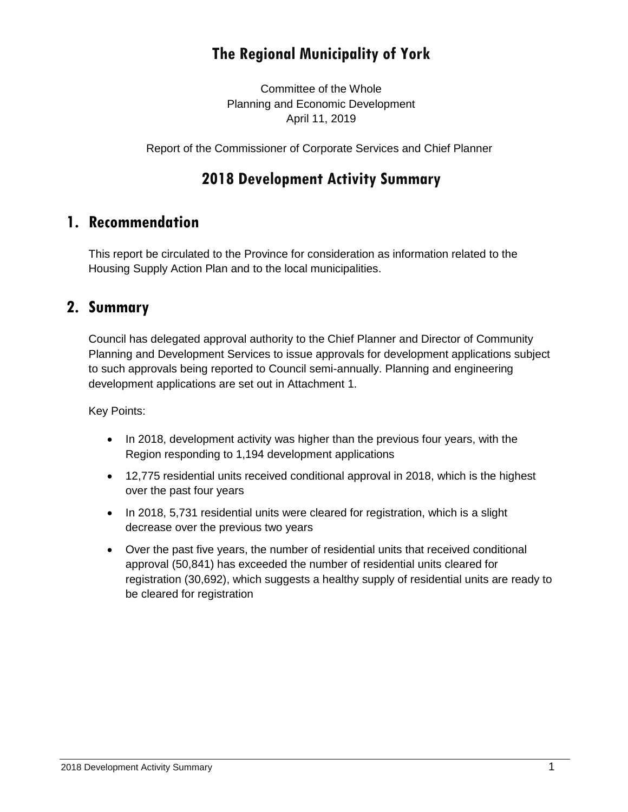# **The Regional Municipality of York**

Committee of the Whole Planning and Economic Development April 11, 2019

Report of the Commissioner of Corporate Services and Chief Planner

# **2018 Development Activity Summary**

### **1. Recommendation**

This report be circulated to the Province for consideration as information related to the Housing Supply Action Plan and to the local municipalities.

### **2. Summary**

Council has delegated approval authority to the Chief Planner and Director of Community Planning and Development Services to issue approvals for development applications subject to such approvals being reported to Council semi-annually. Planning and engineering development applications are set out in Attachment 1.

Key Points:

- In 2018, development activity was higher than the previous four years, with the Region responding to 1,194 development applications
- 12,775 residential units received conditional approval in 2018, which is the highest over the past four years
- In 2018, 5,731 residential units were cleared for registration, which is a slight decrease over the previous two years
- Over the past five years, the number of residential units that received conditional approval (50,841) has exceeded the number of residential units cleared for registration (30,692), which suggests a healthy supply of residential units are ready to be cleared for registration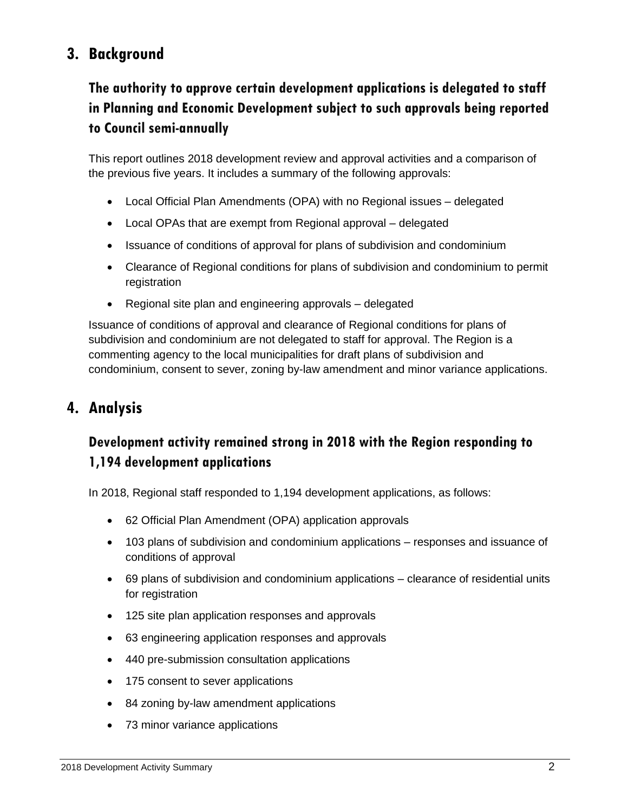# **3. Background**

# **The authority to approve certain development applications is delegated to staff in Planning and Economic Development subject to such approvals being reported to Council semi-annually**

This report outlines 2018 development review and approval activities and a comparison of the previous five years. It includes a summary of the following approvals:

- Local Official Plan Amendments (OPA) with no Regional issues delegated
- Local OPAs that are exempt from Regional approval delegated
- Issuance of conditions of approval for plans of subdivision and condominium
- Clearance of Regional conditions for plans of subdivision and condominium to permit registration
- Regional site plan and engineering approvals delegated

Issuance of conditions of approval and clearance of Regional conditions for plans of subdivision and condominium are not delegated to staff for approval. The Region is a commenting agency to the local municipalities for draft plans of subdivision and condominium, consent to sever, zoning by-law amendment and minor variance applications.

### **4. Analysis**

### **Development activity remained strong in 2018 with the Region responding to 1,194 development applications**

In 2018, Regional staff responded to 1,194 development applications, as follows:

- 62 Official Plan Amendment (OPA) application approvals
- 103 plans of subdivision and condominium applications responses and issuance of conditions of approval
- 69 plans of subdivision and condominium applications clearance of residential units for registration
- 125 site plan application responses and approvals
- 63 engineering application responses and approvals
- 440 pre-submission consultation applications
- 175 consent to sever applications
- 84 zoning by-law amendment applications
- 73 minor variance applications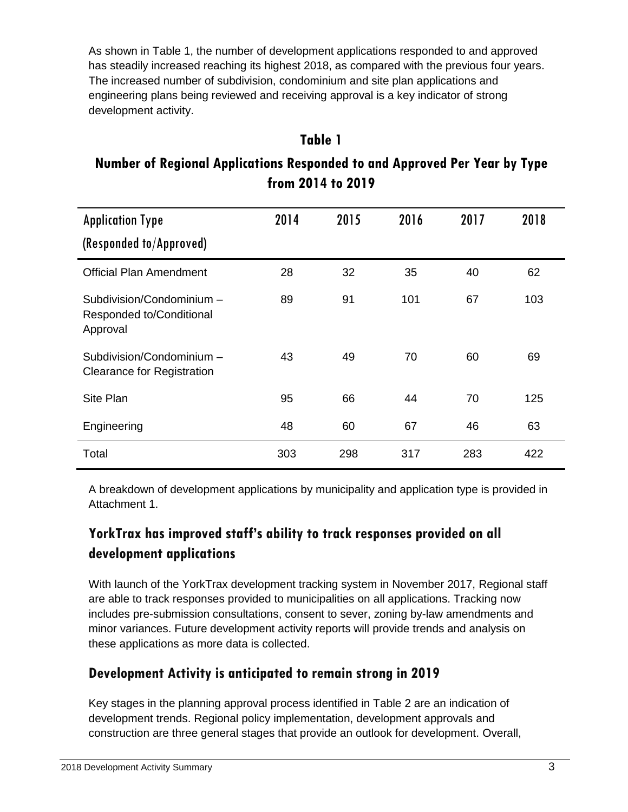As shown in Table 1, the number of development applications responded to and approved has steadily increased reaching its highest 2018, as compared with the previous four years. The increased number of subdivision, condominium and site plan applications and engineering plans being reviewed and receiving approval is a key indicator of strong development activity.

# **Table 1 Number of Regional Applications Responded to and Approved Per Year by Type from 2014 to 2019**

| <b>Application Type</b>                                           | 2014 | 2015 | 2016 | 2017 | 2018 |
|-------------------------------------------------------------------|------|------|------|------|------|
| (Responded to/Approved)                                           |      |      |      |      |      |
| <b>Official Plan Amendment</b>                                    | 28   | 32   | 35   | 40   | 62   |
| Subdivision/Condominium -<br>Responded to/Conditional<br>Approval | 89   | 91   | 101  | 67   | 103  |
| Subdivision/Condominium -<br><b>Clearance for Registration</b>    | 43   | 49   | 70   | 60   | 69   |
| Site Plan                                                         | 95   | 66   | 44   | 70   | 125  |
| Engineering                                                       | 48   | 60   | 67   | 46   | 63   |
| Total                                                             | 303  | 298  | 317  | 283  | 422  |

A breakdown of development applications by municipality and application type is provided in Attachment 1.

### **YorkTrax has improved staff's ability to track responses provided on all development applications**

With launch of the YorkTrax development tracking system in November 2017, Regional staff are able to track responses provided to municipalities on all applications. Tracking now includes pre-submission consultations, consent to sever, zoning by-law amendments and minor variances. Future development activity reports will provide trends and analysis on these applications as more data is collected.

### **Development Activity is anticipated to remain strong in 2019**

Key stages in the planning approval process identified in Table 2 are an indication of development trends. Regional policy implementation, development approvals and construction are three general stages that provide an outlook for development. Overall,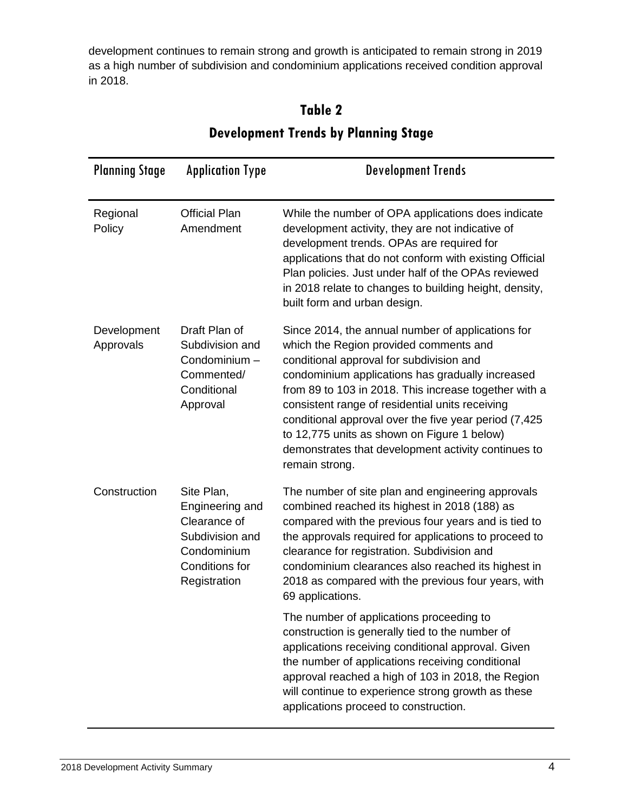development continues to remain strong and growth is anticipated to remain strong in 2019 as a high number of subdivision and condominium applications received condition approval in 2018.

| <b>Planning Stage</b>    | <b>Application Type</b>                                                                                           | <b>Development Trends</b>                                                                                                                                                                                                                                                                                                                                                                                                                                                                 |
|--------------------------|-------------------------------------------------------------------------------------------------------------------|-------------------------------------------------------------------------------------------------------------------------------------------------------------------------------------------------------------------------------------------------------------------------------------------------------------------------------------------------------------------------------------------------------------------------------------------------------------------------------------------|
| Regional<br>Policy       | <b>Official Plan</b><br>Amendment                                                                                 | While the number of OPA applications does indicate<br>development activity, they are not indicative of<br>development trends. OPAs are required for<br>applications that do not conform with existing Official<br>Plan policies. Just under half of the OPAs reviewed<br>in 2018 relate to changes to building height, density,<br>built form and urban design.                                                                                                                           |
| Development<br>Approvals | Draft Plan of<br>Subdivision and<br>Condominium -<br>Commented/<br>Conditional<br>Approval                        | Since 2014, the annual number of applications for<br>which the Region provided comments and<br>conditional approval for subdivision and<br>condominium applications has gradually increased<br>from 89 to 103 in 2018. This increase together with a<br>consistent range of residential units receiving<br>conditional approval over the five year period (7,425)<br>to 12,775 units as shown on Figure 1 below)<br>demonstrates that development activity continues to<br>remain strong. |
| Construction             | Site Plan,<br>Engineering and<br>Clearance of<br>Subdivision and<br>Condominium<br>Conditions for<br>Registration | The number of site plan and engineering approvals<br>combined reached its highest in 2018 (188) as<br>compared with the previous four years and is tied to<br>the approvals required for applications to proceed to<br>clearance for registration. Subdivision and<br>condominium clearances also reached its highest in<br>2018 as compared with the previous four years, with<br>69 applications.                                                                                       |
|                          |                                                                                                                   | The number of applications proceeding to<br>construction is generally tied to the number of<br>applications receiving conditional approval. Given<br>the number of applications receiving conditional<br>approval reached a high of 103 in 2018, the Region<br>will continue to experience strong growth as these<br>applications proceed to construction.                                                                                                                                |

# **Table 2 Development Trends by Planning Stage**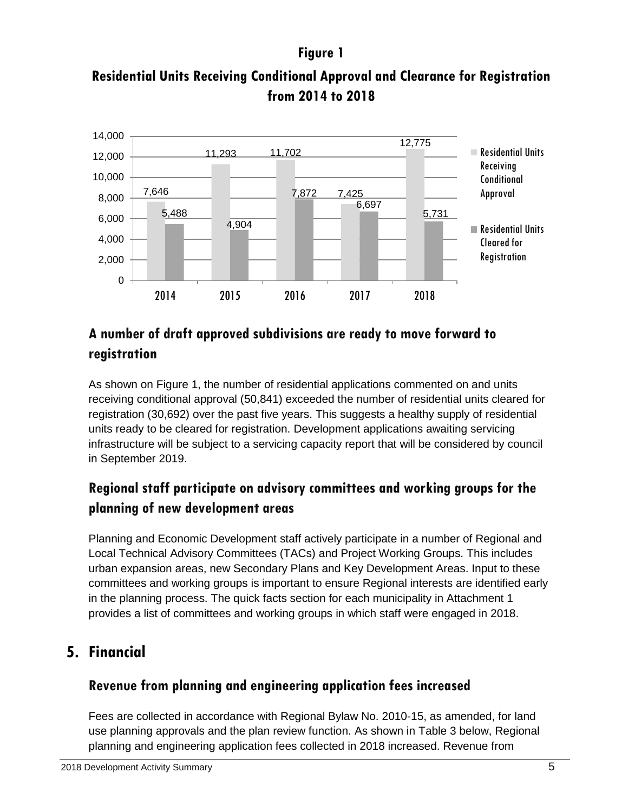### **Figure 1**





# **A number of draft approved subdivisions are ready to move forward to registration**

As shown on Figure 1, the number of residential applications commented on and units receiving conditional approval (50,841) exceeded the number of residential units cleared for registration (30,692) over the past five years. This suggests a healthy supply of residential units ready to be cleared for registration. Development applications awaiting servicing infrastructure will be subject to a servicing capacity report that will be considered by council in September 2019.

### **Regional staff participate on advisory committees and working groups for the planning of new development areas**

Planning and Economic Development staff actively participate in a number of Regional and Local Technical Advisory Committees (TACs) and Project Working Groups. This includes urban expansion areas, new Secondary Plans and Key Development Areas. Input to these committees and working groups is important to ensure Regional interests are identified early in the planning process. The quick facts section for each municipality in Attachment 1 provides a list of committees and working groups in which staff were engaged in 2018.

# **5. Financial**

### **Revenue from planning and engineering application fees increased**

Fees are collected in accordance with Regional Bylaw No. 2010-15, as amended, for land use planning approvals and the plan review function. As shown in Table 3 below, Regional planning and engineering application fees collected in 2018 increased. Revenue from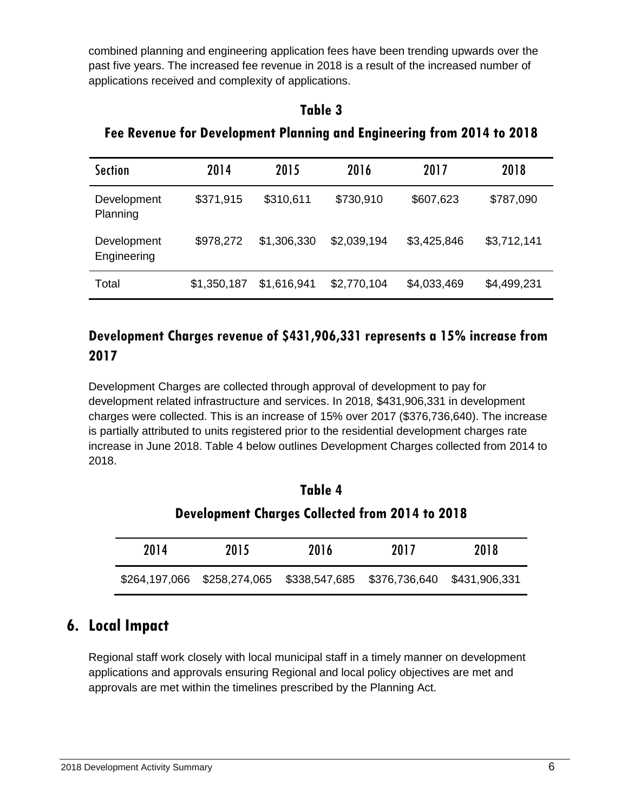combined planning and engineering application fees have been trending upwards over the past five years. The increased fee revenue in 2018 is a result of the increased number of applications received and complexity of applications.

#### **Table 3**

| <b>Section</b>             | 2014        | 2015        | 2016        | 2017        | 2018        |
|----------------------------|-------------|-------------|-------------|-------------|-------------|
| Development<br>Planning    | \$371,915   | \$310,611   | \$730,910   | \$607,623   | \$787,090   |
| Development<br>Engineering | \$978,272   | \$1,306,330 | \$2,039,194 | \$3,425,846 | \$3,712,141 |
| Total                      | \$1,350,187 | \$1,616,941 | \$2,770,104 | \$4,033,469 | \$4,499,231 |

**Fee Revenue for Development Planning and Engineering from 2014 to 2018**

### **Development Charges revenue of \$431,906,331 represents a 15% increase from 2017**

Development Charges are collected through approval of development to pay for development related infrastructure and services. In 2018, \$431,906,331 in development charges were collected. This is an increase of 15% over 2017 (\$376,736,640). The increase is partially attributed to units registered prior to the residential development charges rate increase in June 2018. Table 4 below outlines Development Charges collected from 2014 to 2018.

| Table 4                                                |                                           |      |               |               |
|--------------------------------------------------------|-------------------------------------------|------|---------------|---------------|
| <b>Development Charges Collected from 2014 to 2018</b> |                                           |      |               |               |
| 2014                                                   | 2015                                      | 2016 | 2017          | 2018          |
|                                                        | \$264,197,066 \$258,274,065 \$338,547,685 |      | \$376,736,640 | \$431,906,331 |

# **6. Local Impact**

Regional staff work closely with local municipal staff in a timely manner on development applications and approvals ensuring Regional and local policy objectives are met and approvals are met within the timelines prescribed by the Planning Act.